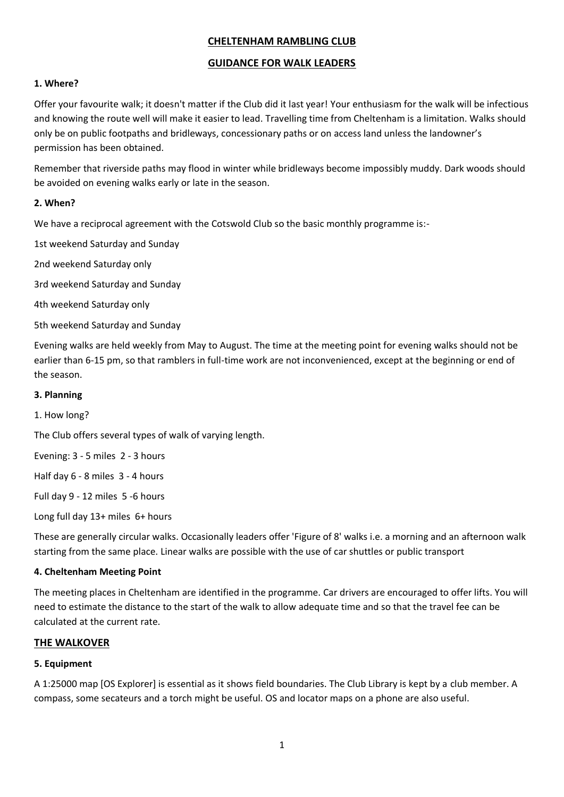# **CHELTENHAM RAMBLING CLUB**

## **GUIDANCE FOR WALK LEADERS**

## **1. Where?**

Offer your favourite walk; it doesn't matter if the Club did it last year! Your enthusiasm for the walk will be infectious and knowing the route well will make it easier to lead. Travelling time from Cheltenham is a limitation. Walks should only be on public footpaths and bridleways, concessionary paths or on access land unless the landowner's permission has been obtained.

Remember that riverside paths may flood in winter while bridleways become impossibly muddy. Dark woods should be avoided on evening walks early or late in the season.

## **2. When?**

We have a reciprocal agreement with the Cotswold Club so the basic monthly programme is:-

1st weekend Saturday and Sunday

2nd weekend Saturday only

3rd weekend Saturday and Sunday

4th weekend Saturday only

5th weekend Saturday and Sunday

Evening walks are held weekly from May to August. The time at the meeting point for evening walks should not be earlier than 6-15 pm, so that ramblers in full-time work are not inconvenienced, except at the beginning or end of the season.

#### **3. Planning**

1. How long?

The Club offers several types of walk of varying length.

Evening: 3 - 5 miles 2 - 3 hours

Half day 6 - 8 miles 3 - 4 hours

Full day 9 - 12 miles 5 -6 hours

Long full day 13+ miles 6+ hours

These are generally circular walks. Occasionally leaders offer 'Figure of 8' walks i.e. a morning and an afternoon walk starting from the same place. Linear walks are possible with the use of car shuttles or public transport

#### **4. Cheltenham Meeting Point**

The meeting places in Cheltenham are identified in the programme. Car drivers are encouraged to offer lifts. You will need to estimate the distance to the start of the walk to allow adequate time and so that the travel fee can be calculated at the current rate.

#### **THE WALKOVER**

#### **5. Equipment**

A 1:25000 map [OS Explorer] is essential as it shows field boundaries. The Club Library is kept by a club member. A compass, some secateurs and a torch might be useful. OS and locator maps on a phone are also useful.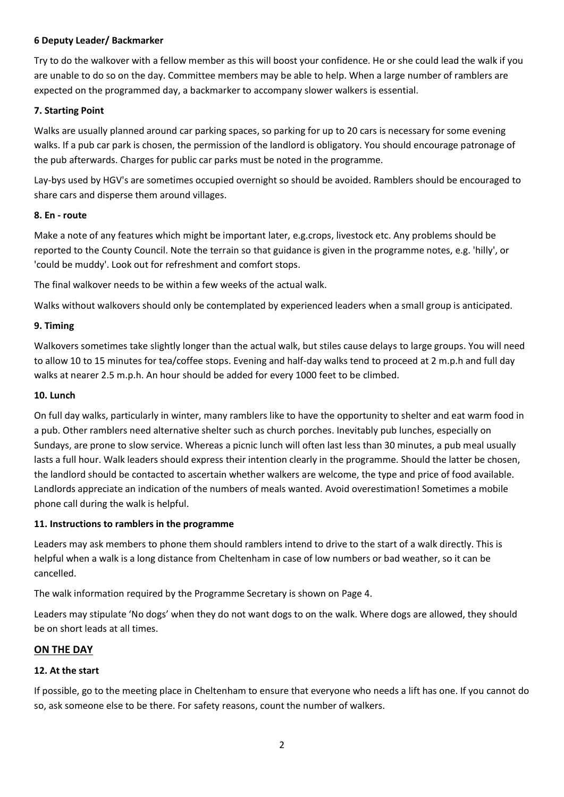## **6 Deputy Leader/ Backmarker**

Try to do the walkover with a fellow member as this will boost your confidence. He or she could lead the walk if you are unable to do so on the day. Committee members may be able to help. When a large number of ramblers are expected on the programmed day, a backmarker to accompany slower walkers is essential.

## **7. Starting Point**

Walks are usually planned around car parking spaces, so parking for up to 20 cars is necessary for some evening walks. If a pub car park is chosen, the permission of the landlord is obligatory. You should encourage patronage of the pub afterwards. Charges for public car parks must be noted in the programme.

Lay-bys used by HGV's are sometimes occupied overnight so should be avoided. Ramblers should be encouraged to share cars and disperse them around villages.

#### **8. En - route**

Make a note of any features which might be important later, e.g.crops, livestock etc. Any problems should be reported to the County Council. Note the terrain so that guidance is given in the programme notes, e.g. 'hilly', or 'could be muddy'. Look out for refreshment and comfort stops.

The final walkover needs to be within a few weeks of the actual walk.

Walks without walkovers should only be contemplated by experienced leaders when a small group is anticipated.

## **9. Timing**

Walkovers sometimes take slightly longer than the actual walk, but stiles cause delays to large groups. You will need to allow 10 to 15 minutes for tea/coffee stops. Evening and half-day walks tend to proceed at 2 m.p.h and full day walks at nearer 2.5 m.p.h. An hour should be added for every 1000 feet to be climbed.

#### **10. Lunch**

On full day walks, particularly in winter, many ramblers like to have the opportunity to shelter and eat warm food in a pub. Other ramblers need alternative shelter such as church porches. Inevitably pub lunches, especially on Sundays, are prone to slow service. Whereas a picnic lunch will often last less than 30 minutes, a pub meal usually lasts a full hour. Walk leaders should express their intention clearly in the programme. Should the latter be chosen, the landlord should be contacted to ascertain whether walkers are welcome, the type and price of food available. Landlords appreciate an indication of the numbers of meals wanted. Avoid overestimation! Sometimes a mobile phone call during the walk is helpful.

#### **11. Instructions to ramblers in the programme**

Leaders may ask members to phone them should ramblers intend to drive to the start of a walk directly. This is helpful when a walk is a long distance from Cheltenham in case of low numbers or bad weather, so it can be cancelled.

The walk information required by the Programme Secretary is shown on Page 4.

Leaders may stipulate 'No dogs' when they do not want dogs to on the walk. Where dogs are allowed, they should be on short leads at all times.

#### **ON THE DAY**

#### **12. At the start**

If possible, go to the meeting place in Cheltenham to ensure that everyone who needs a lift has one. If you cannot do so, ask someone else to be there. For safety reasons, count the number of walkers.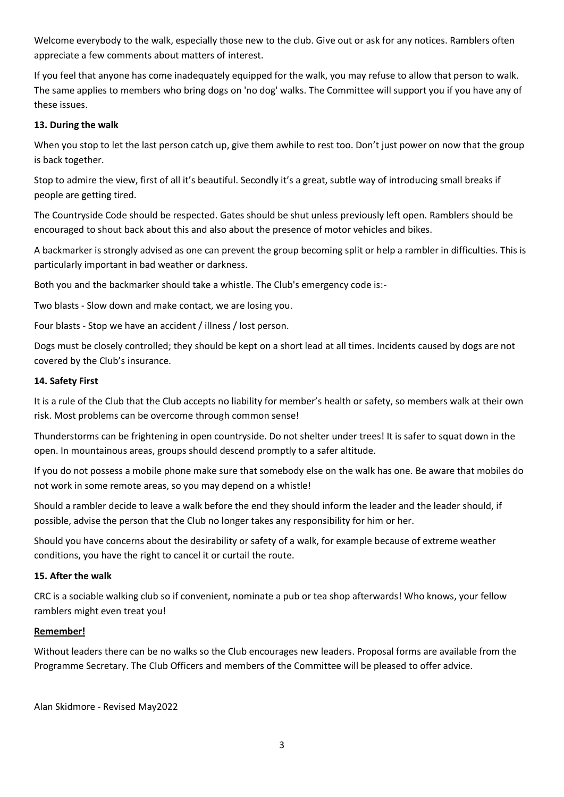Welcome everybody to the walk, especially those new to the club. Give out or ask for any notices. Ramblers often appreciate a few comments about matters of interest.

If you feel that anyone has come inadequately equipped for the walk, you may refuse to allow that person to walk. The same applies to members who bring dogs on 'no dog' walks. The Committee will support you if you have any of these issues.

## **13. During the walk**

When you stop to let the last person catch up, give them awhile to rest too. Don't just power on now that the group is back together.

Stop to admire the view, first of all it's beautiful. Secondly it's a great, subtle way of introducing small breaks if people are getting tired.

The Countryside Code should be respected. Gates should be shut unless previously left open. Ramblers should be encouraged to shout back about this and also about the presence of motor vehicles and bikes.

A backmarker is strongly advised as one can prevent the group becoming split or help a rambler in difficulties. This is particularly important in bad weather or darkness.

Both you and the backmarker should take a whistle. The Club's emergency code is:-

Two blasts - Slow down and make contact, we are losing you.

Four blasts - Stop we have an accident / illness / lost person.

Dogs must be closely controlled; they should be kept on a short lead at all times. Incidents caused by dogs are not covered by the Club's insurance.

#### **14. Safety First**

It is a rule of the Club that the Club accepts no liability for member's health or safety, so members walk at their own risk. Most problems can be overcome through common sense!

Thunderstorms can be frightening in open countryside. Do not shelter under trees! It is safer to squat down in the open. In mountainous areas, groups should descend promptly to a safer altitude.

If you do not possess a mobile phone make sure that somebody else on the walk has one. Be aware that mobiles do not work in some remote areas, so you may depend on a whistle!

Should a rambler decide to leave a walk before the end they should inform the leader and the leader should, if possible, advise the person that the Club no longer takes any responsibility for him or her.

Should you have concerns about the desirability or safety of a walk, for example because of extreme weather conditions, you have the right to cancel it or curtail the route.

#### **15. After the walk**

CRC is a sociable walking club so if convenient, nominate a pub or tea shop afterwards! Who knows, your fellow ramblers might even treat you!

#### **Remember!**

Without leaders there can be no walks so the Club encourages new leaders. Proposal forms are available from the Programme Secretary. The Club Officers and members of the Committee will be pleased to offer advice.

Alan Skidmore - Revised May2022